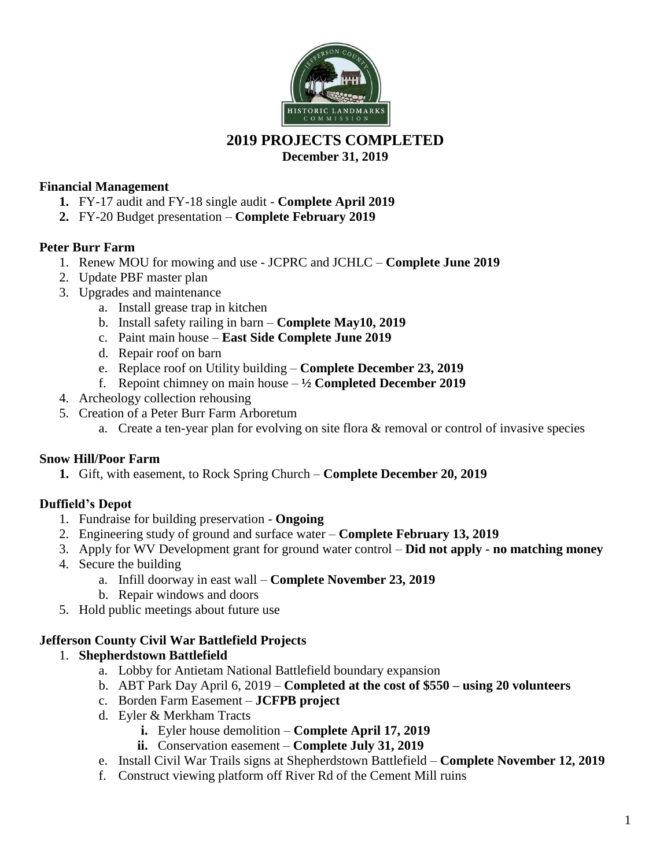

# **2019 PROJECTS COMPLETED**

**December 31, 2019**

## **Financial Management**

- **1.** FY-17 audit and FY-18 single audit **Complete April 2019**
- **2.** FY-20 Budget presentation **Complete February 2019**

# **Peter Burr Farm**

- 1. Renew MOU for mowing and use JCPRC and JCHLC **Complete June 2019**
- 2. Update PBF master plan
- 3. Upgrades and maintenance
	- a. Install grease trap in kitchen
	- b. Install safety railing in barn **Complete May10, 2019**
	- c. Paint main house **East Side Complete June 2019**
	- d. Repair roof on barn
	- e. Replace roof on Utility building **Complete December 23, 2019**
	- f. Repoint chimney on main house  $-\frac{1}{2}$  **Completed December 2019**
- 4. Archeology collection rehousing
- 5. Creation of a Peter Burr Farm Arboretum
	- a. Create a ten-year plan for evolving on site flora & removal or control of invasive species

### **Snow Hill/Poor Farm**

**1.** Gift, with easement, to Rock Spring Church – **Complete December 20, 2019**

# **Duffield's Depot**

- 1. Fundraise for building preservation **Ongoing**
- 2. Engineering study of ground and surface water **Complete February 13, 2019**
- 3. Apply for WV Development grant for ground water control **Did not apply - no matching money**
- 4. Secure the building
	- a. Infill doorway in east wall **Complete November 23, 2019**
	- b. Repair windows and doors
- 5. Hold public meetings about future use

### **Jefferson County Civil War Battlefield Projects**

### 1. **Shepherdstown Battlefield**

- a. Lobby for Antietam National Battlefield boundary expansion
- b. ABT Park Day April 6, 2019 **Completed at the cost of \$550 – using 20 volunteers**
- c. Borden Farm Easement **JCFPB project**
- d. Eyler & Merkham Tracts
	- **i.** Eyler house demolition **Complete April 17, 2019**
	- **ii.** Conservation easement **Complete July 31, 2019**
- e. Install Civil War Trails signs at Shepherdstown Battlefield **Complete November 12, 2019**
- f. Construct viewing platform off River Rd of the Cement Mill ruins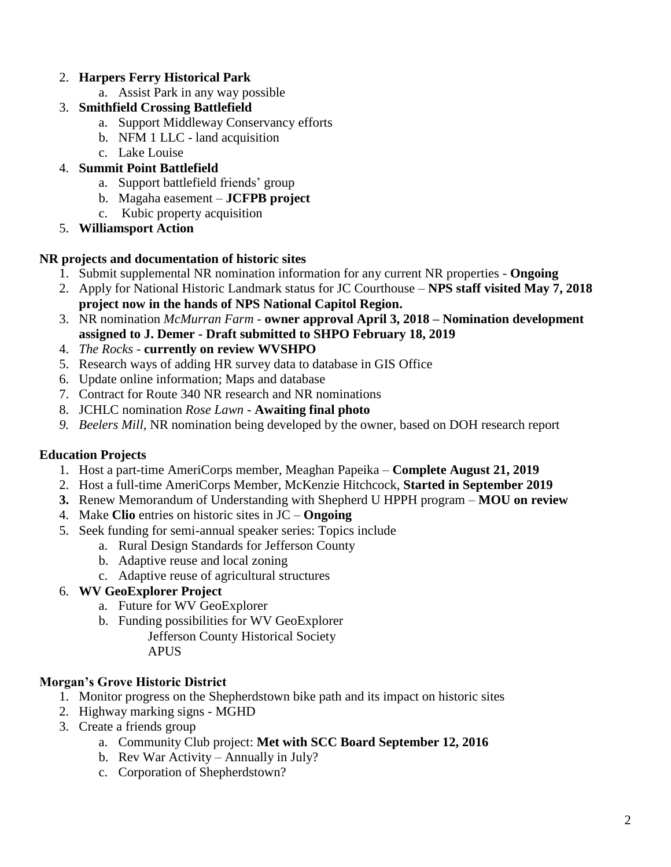# 2. **Harpers Ferry Historical Park**

- a. Assist Park in any way possible
- 3. **Smithfield Crossing Battlefield**
	- a. Support Middleway Conservancy efforts
	- b. NFM 1 LLC land acquisition
	- c. Lake Louise

# 4. **Summit Point Battlefield**

- a. Support battlefield friends' group
- b. Magaha easement **JCFPB project**
- c. Kubic property acquisition
- 5. **Williamsport Action**

## **NR projects and documentation of historic sites**

- 1. Submit supplemental NR nomination information for any current NR properties **Ongoing**
- 2. Apply for National Historic Landmark status for JC Courthouse **NPS staff visited May 7, 2018 project now in the hands of NPS National Capitol Region.**
- 3. NR nomination *McMurran Farm -* **owner approval April 3, 2018 – Nomination development assigned to J. Demer - Draft submitted to SHPO February 18, 2019**
- 4. *The Rocks* **currently on review WVSHPO**
- 5. Research ways of adding HR survey data to database in GIS Office
- 6. Update online information; Maps and database
- 7. Contract for Route 340 NR research and NR nominations
- 8. JCHLC nomination *Rose Lawn* **Awaiting final photo**
- *9. Beelers Mill,* NR nomination being developed by the owner, based on DOH research report

# **Education Projects**

- 1. Host a part-time AmeriCorps member, Meaghan Papeika **Complete August 21, 2019**
- 2. Host a full-time AmeriCorps Member, McKenzie Hitchcock, **Started in September 2019**
- **3.** Renew Memorandum of Understanding with Shepherd U HPPH program **MOU on review**
- 4. Make **Clio** entries on historic sites in JC **Ongoing**
- 5. Seek funding for semi-annual speaker series: Topics include
	- a. Rural Design Standards for Jefferson County
	- b. Adaptive reuse and local zoning
	- c. Adaptive reuse of agricultural structures

# 6. **WV GeoExplorer Project**

- a. Future for WV GeoExplorer
- b. Funding possibilities for WV GeoExplorer
	- Jefferson County Historical Society APUS

# **Morgan's Grove Historic District**

- 1. Monitor progress on the Shepherdstown bike path and its impact on historic sites
- 2. Highway marking signs MGHD
- 3. Create a friends group
	- a. Community Club project: **Met with SCC Board September 12, 2016**
	- b. Rev War Activity Annually in July?
	- c. Corporation of Shepherdstown?